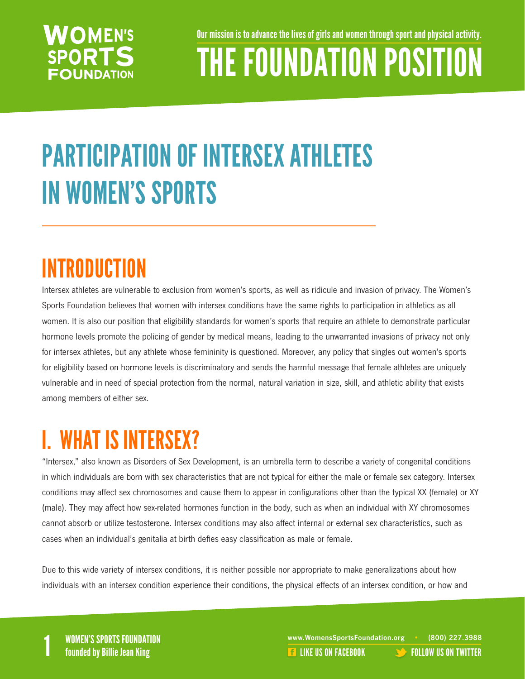### **NOMEN'S SPORTS FOUNDATION**

Our mission is to advance the lives of girls and women through sport and physical activity.

## THE FOUNDATION POSITION

## PARTICIPATION OF INTERSEX ATHLETES IN WOMEN'S SPORTS

### INTRODUCTION

Intersex athletes are vulnerable to exclusion from women's sports, as well as ridicule and invasion of privacy. The Women's Sports Foundation believes that women with intersex conditions have the same rights to participation in athletics as all women. It is also our position that eligibility standards for women's sports that require an athlete to demonstrate particular hormone levels promote the policing of gender by medical means, leading to the unwarranted invasions of privacy not only for intersex athletes, but any athlete whose femininity is questioned. Moreover, any policy that singles out women's sports for eligibility based on hormone levels is discriminatory and sends the harmful message that female athletes are uniquely vulnerable and in need of special protection from the normal, natural variation in size, skill, and athletic ability that exists among members of either sex.

### I. WHAT IS INTERSEX?

"Intersex," also known as Disorders of Sex Development, is an umbrella term to describe a variety of congenital conditions in which individuals are born with sex characteristics that are not typical for either the male or female sex category. Intersex conditions may affect sex chromosomes and cause them to appear in configurations other than the typical XX (female) or XY (male). They may affect how sex-related hormones function in the body, such as when an individual with XY chromosomes cannot absorb or utilize testosterone. Intersex conditions may also affect internal or external sex characteristics, such as cases when an individual's genitalia at birth defies easy classification as male or female.

Due to this wide variety of intersex conditions, it is neither possible nor appropriate to make generalizations about how individuals with an intersex condition experience their conditions, the physical effects of an intersex condition, or how and

WOMEN'S SPORTS FOUNDATION www.WomensSportsFoundation.org • (800) 227.3988<br>1 founded by Billie Jean King the state of the state of the state of the US ON FACEBOOK founded by Billie Jean **REA[LIKE US ON FACEBOOK](https://www.facebook.com/WomensSportsFoundation) [FOLLOW US ON TWITTER](http://twitter.com/#!/womenssportsfdn)**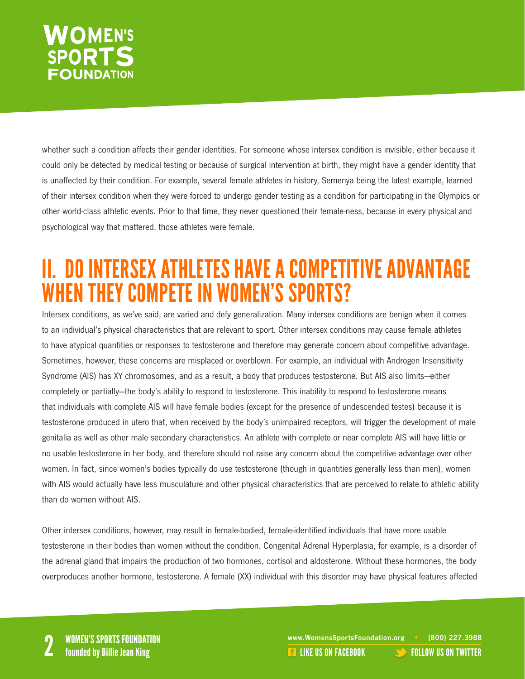### **NOMEN'S SPORTS FOUNDATION**

whether such a condition affects their gender identities. For someone whose intersex condition is invisible, either because it could only be detected by medical testing or because of surgical intervention at birth, they might have a gender identity that is unaffected by their condition. For example, several female athletes in history, Semenya being the latest example, learned of their intersex condition when they were forced to undergo gender testing as a condition for participating in the Olympics or other world-class athletic events. Prior to that time, they never questioned their female-ness, because in every physical and psychological way that mattered, those athletes were female.

### II. DO INTERSEX ATHLETES HAVE A COMPETITIVE ADVANTAGE WHEN THEY COMPETE IN WOMEN'S SPORTS?

Intersex conditions, as we've said, are varied and defy generalization. Many intersex conditions are benign when it comes to an individual's physical characteristics that are relevant to sport. Other intersex conditions may cause female athletes to have atypical quantities or responses to testosterone and therefore may generate concern about competitive advantage. Sometimes, however, these concerns are misplaced or overblown. For example, an individual with Androgen Insensitivity Syndrome (AIS) has XY chromosomes, and as a result, a body that produces testosterone. But AIS also limits—either completely or partially—the body's ability to respond to testosterone. This inability to respond to testosterone means that individuals with complete AIS will have female bodies (except for the presence of undescended testes) because it is testosterone produced in utero that, when received by the body's unimpaired receptors, will trigger the development of male genitalia as well as other male secondary characteristics. An athlete with complete or near complete AIS will have little or no usable testosterone in her body, and therefore should not raise any concern about the competitive advantage over other women. In fact, since women's bodies typically do use testosterone (though in quantities generally less than men), women with AIS would actually have less musculature and other physical characteristics that are perceived to relate to athletic ability than do women without AIS.

Other intersex conditions, however, may result in female-bodied, female-identified individuals that have more usable testosterone in their bodies than women without the condition. Congenital Adrenal Hyperplasia, for example, is a disorder of the adrenal gland that impairs the production of two hormones, cortisol and aldosterone. Without these hormones, the body overproduces another hormone, testosterone. A female (XX) individual with this disorder may have physical features affected

www.WomensSportsFoundation.org • (800) 227.3988<br>2 **2 Founded by Billie Jean King** 2 Like US ON FACEBOOK [FOLLOW US ON TWITTER](http://twitter.com/#!/womenssportsfdn)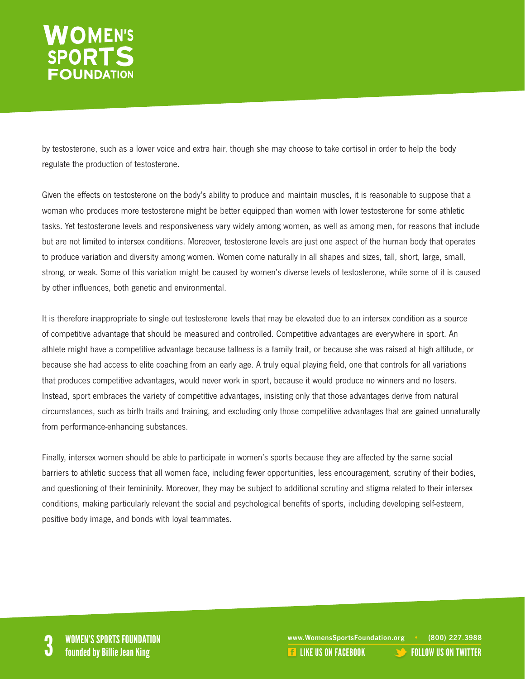# WOMEN'S<br>SPORTS

by testosterone, such as a lower voice and extra hair, though she may choose to take cortisol in order to help the body regulate the production of testosterone.

Given the effects on testosterone on the body's ability to produce and maintain muscles, it is reasonable to suppose that a woman who produces more testosterone might be better equipped than women with lower testosterone for some athletic tasks. Yet testosterone levels and responsiveness vary widely among women, as well as among men, for reasons that include but are not limited to intersex conditions. Moreover, testosterone levels are just one aspect of the human body that operates to produce variation and diversity among women. Women come naturally in all shapes and sizes, tall, short, large, small, strong, or weak. Some of this variation might be caused by women's diverse levels of testosterone, while some of it is caused by other influences, both genetic and environmental.

It is therefore inappropriate to single out testosterone levels that may be elevated due to an intersex condition as a source of competitive advantage that should be measured and controlled. Competitive advantages are everywhere in sport. An athlete might have a competitive advantage because tallness is a family trait, or because she was raised at high altitude, or because she had access to elite coaching from an early age. A truly equal playing field, one that controls for all variations that produces competitive advantages, would never work in sport, because it would produce no winners and no losers. Instead, sport embraces the variety of competitive advantages, insisting only that those advantages derive from natural circumstances, such as birth traits and training, and excluding only those competitive advantages that are gained unnaturally from performance-enhancing substances.

Finally, intersex women should be able to participate in women's sports because they are affected by the same social barriers to athletic success that all women face, including fewer opportunities, less encouragement, scrutiny of their bodies, and questioning of their femininity. Moreover, they may be subject to additional scrutiny and stigma related to their intersex conditions, making particularly relevant the social and psychological benefits of sports, including developing self-esteem, positive body image, and bonds with loyal teammates.

WOMEN'S SPORTS FOUNDATION<br>
State of the state of the state of the state of the state of the state of the state of the state of the state o<br>
State of the US ON FACEBOOK [FOLLOW US ON TWITTER](http://twitter.com/#!/womenssportsfdn)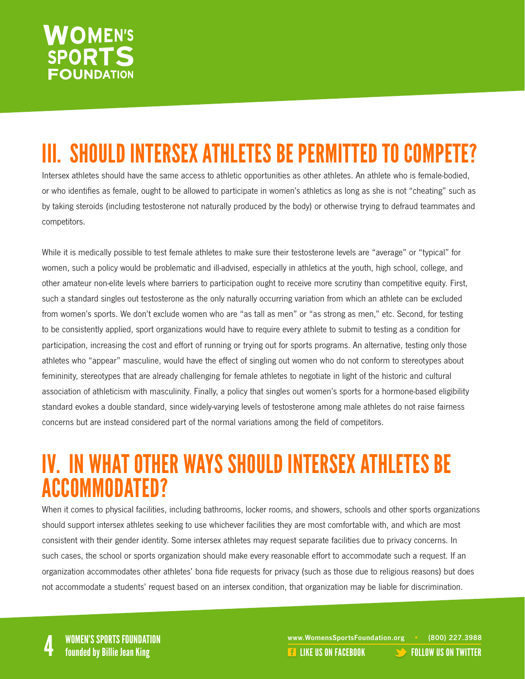### **VOMEN'S SPORTS FOUNDATION**

## III. SHOULD INTERSEX ATHLETES BE PERMITTED TO COMPETE?

Intersex athletes should have the same access to athletic opportunities as other athletes. An athlete who is female-bodied, or who identifies as female, ought to be allowed to participate in women's athletics as long as she is not "cheating" such as by taking steroids (including testosterone not naturally produced by the body) or otherwise trying to defraud teammates and competitors.

While it is medically possible to test female athletes to make sure their testosterone levels are "average" or "typical" for women, such a policy would be problematic and ill-advised, especially in athletics at the youth, high school, college, and other amateur non-elite levels where barriers to participation ought to receive more scrutiny than competitive equity. First, such a standard singles out testosterone as the only naturally occurring variation from which an athlete can be excluded from women's sports. We don't exclude women who are "as tall as men" or "as strong as men," etc. Second, for testing to be consistently applied, sport organizations would have to require every athlete to submit to testing as a condition for participation, increasing the cost and effort of running or trying out for sports programs. An alternative, testing only those athletes who "appear" masculine, would have the effect of singling out women who do not conform to stereotypes about femininity, stereotypes that are already challenging for female athletes to negotiate in light of the historic and cultural association of athleticism with masculinity. Finally, a policy that singles out women's sports for a hormone-based eligibility standard evokes a double standard, since widely-varying levels of testosterone among male athletes do not raise fairness concerns but are instead considered part of the normal variations among the field of competitors.

### IV. IN WHAT OTHER WAYS SHOULD INTERSEX ATHLETES BE ACCOMMODATED?

When it comes to physical facilities, including bathrooms, locker rooms, and showers, schools and other sports organizations should support intersex athletes seeking to use whichever facilities they are most comfortable with, and which are most consistent with their gender identity. Some intersex athletes may request separate facilities due to privacy concerns. In such cases, the school or sports organization should make every reasonable effort to accommodate such a request. If an organization accommodates other athletes' bona fide requests for privacy (such as those due to religious reasons) but does not accommodate a students' request based on an intersex condition, that organization may be liable for discrimination.

WOMEN'S SPORTS FOUNDATION<br>A founded by Billie Jean King the state of the state of the state of the state of the state of the state of th<br>A founded by Billie Jean King the state of the state of the state of the state of the